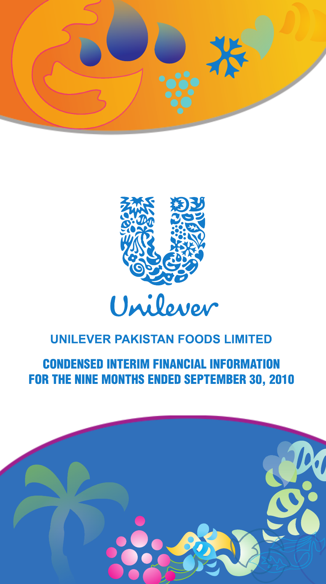



**CONDENSED INTERIM FINANCIAL INFORMATION** FOR THE NINE MONTHS ENDED SEPTEMBER 30, 2010

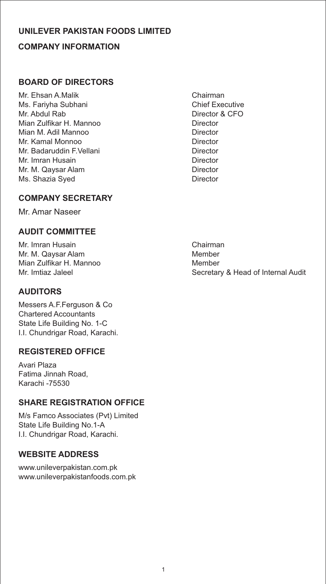## **COMPANY INFORMATION UNILEVER PAKISTAN FOODS LIMITED**

## **BOARD OF DIRECTORS**

Mr. Ehsan A.Malik Chairman<br>Ms. Farivha Subhani Chairman Chief Executive Ms. Fariyha Subhani Mr. Abdul Rab **Director & CFO** Mian Zulfikar H. Mannoo Director Mian M. Adil Mannoo **Director** Mr. Kamal Monnoo **Director** Mr. Badaruddin F.Vellani Director Mr. Imran Husain **Director** Director Mr. M. Qaysar Alam **Director** Ms. Shazia Syed Director

## **COMPANY SECRETARY**

Mr. Amar Naseer

## **AUDIT COMMITTEE**

Mr. Imran Husain **Chairman** Mr. M. Qaysar Alam Member Mian Zulfikar H. Mannoo Member

## **AUDITORS**

Messers A.F.Ferguson & Co Chartered Accountants State Life Building No. 1-C I.I. Chundrigar Road, Karachi.

## **REGISTERED OFFICE**

Avari Plaza Fatima Jinnah Road, Karachi -75530

## **SHARE REGISTRATION OFFICE**

M/s Famco Associates (Pvt) Limited State Life Building No.1-A I.I. Chundrigar Road, Karachi.

## **WEBSITE ADDRESS**

www.unileverpakistan.com.pk www.unileverpakistanfoods.com.pk

Secretary & Head of Internal Audit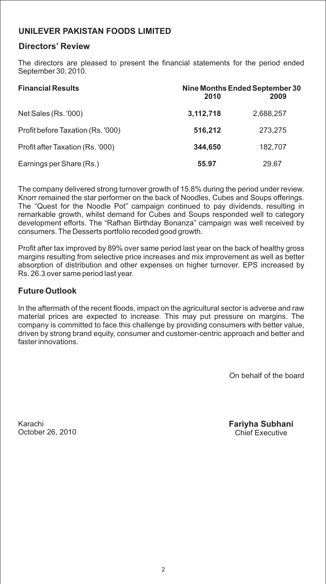### **Directors' Review**

The directors are pleased to present the financial statements for the period ended September 30, 2010.

| <b>Financial Results</b>          | 2010      | Nine Months Ended September 30<br>2009 |
|-----------------------------------|-----------|----------------------------------------|
| Net Sales (Rs. '000)              | 3,112,718 | 2,688,257                              |
| Profit before Taxation (Rs. '000) | 516.212   | 273.275                                |
| Profit after Taxation (Rs. '000)  | 344,650   | 182,707                                |
| Earnings per Share (Rs.)          | 55.97     | 29.67                                  |

The company delivered strong turnover growth of 15.8% during the period under review. Knorr remained the star performer on the back of Noodles, Cubes and Soups offerings. The "Quest for the Noodle Pot" campaign continued to pay dividends, resulting in remarkable growth, whilst demand for Cubes and Soups responded well to category development efforts. The "Rafhan Birthday Bonanza" campaign was well received by consumers. The Desserts portfolio recoded good growth.

Profit after tax improved by 89% over same period last year on the back of healthy gross margins resulting from selective price increases and mix improvement as well as better absorption of distribution and other expenses on higher turnover. EPS increased by Rs. 26.3 over same period last year.

### **Future Outlook**

In the aftermath of the recent floods, impact on the agricultural sector is adverse and raw material prices are expected to increase. This may put pressure on margins. The company is committed to face this challenge by providing consumers with better value, driven by strong brand equity, consumer and customer-centric approach and better and faster innovations.

On behalf of the board

Karachi October 26, 2010 **Fariyha Subhani** Chief Executive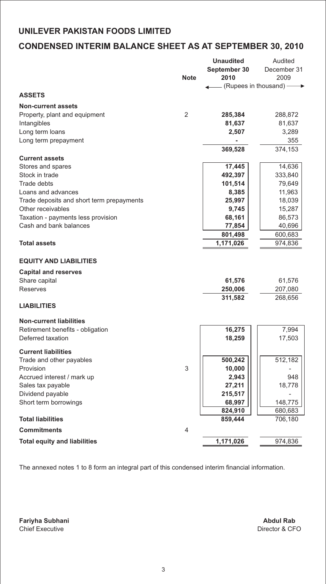## **CONDENSED INTERIM BALANCE SHEET AS AT SEPTEMBER 30, 2010**

|                                           |             | <b>Unaudited</b>         | Audited     |
|-------------------------------------------|-------------|--------------------------|-------------|
|                                           |             | September 30             | December 31 |
|                                           | <b>Note</b> | 2010                     | 2009        |
|                                           |             | – (Rupees in thousand) - |             |
| <b>ASSETS</b>                             |             |                          |             |
| <b>Non-current assets</b>                 |             |                          |             |
| Property, plant and equipment             | 2           | 285,384                  | 288,872     |
| Intangibles                               |             | 81,637                   | 81,637      |
| Long term loans                           |             | 2,507                    | 3,289       |
| Long term prepayment                      |             |                          | 355         |
|                                           |             | 369,528                  | 374,153     |
| <b>Current assets</b>                     |             |                          |             |
| Stores and spares                         |             | 17,445                   | 14,636      |
| Stock in trade                            |             | 492,397                  | 333,840     |
| <b>Trade debts</b>                        |             | 101,514                  | 79,649      |
| Loans and advances                        |             | 8,385                    | 11,963      |
| Trade deposits and short term prepayments |             | 25,997                   | 18,039      |
| Other receivables                         |             | 9,745                    | 15,287      |
| Taxation - payments less provision        |             | 68,161                   | 86,573      |
| Cash and bank balances                    |             | 77,854                   | 40,696      |
|                                           |             | 801,498                  | 600,683     |
| <b>Total assets</b>                       |             | 1,171,026                | 974,836     |
|                                           |             |                          |             |
| <b>EQUITY AND LIABILITIES</b>             |             |                          |             |
| <b>Capital and reserves</b>               |             |                          |             |
| Share capital                             |             | 61,576                   | 61,576      |
| Reserves                                  |             | 250,006                  | 207,080     |
|                                           |             | 311,582                  | 268,656     |
| <b>LIABILITIES</b>                        |             |                          |             |
| <b>Non-current liabilities</b>            |             |                          |             |
| Retirement benefits - obligation          |             | 16,275                   | 7,994       |
| Deferred taxation                         |             | 18,259                   | 17,503      |
| <b>Current liabilities</b>                |             |                          |             |
|                                           |             | 500,242                  | 512,182     |
| Trade and other payables<br>Provision     | 3           | 10,000                   |             |
| Accrued interest / mark up                |             | 2,943                    | 948         |
| Sales tax payable                         |             | 27,211                   | 18,778      |
| Dividend payable                          |             | 215,517                  |             |
| Short term borrowings                     |             | 68,997                   | 148,775     |
|                                           |             | 824,910                  | 680,683     |
| <b>Total liabilities</b>                  |             | 859,444                  | 706,180     |
|                                           |             |                          |             |
| <b>Commitments</b>                        | 4           |                          |             |
| <b>Total equity and liabilities</b>       |             | 1,171,026                | 974,836     |
|                                           |             |                          |             |

The annexed notes 1 to 8 form an integral part of this condensed interim financial information.

**Fariyha Subhani** Chief Executive Director & CFO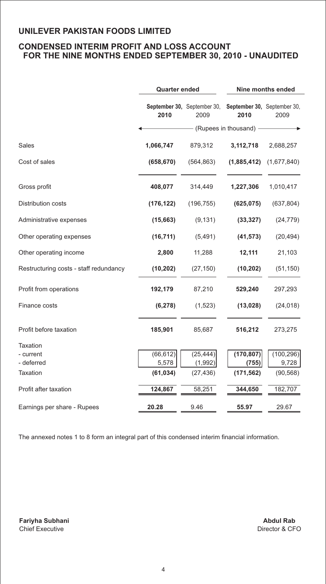### **CONDENSED INTERIM PROFIT AND LOSS ACCOUNT FOR THE NINE MONTHS ENDED SEPTEMBER 30, 2010 - UNAUDITED**

|                                        | <b>Quarter ended</b> |                                                                 | Nine months ended      |             |  |
|----------------------------------------|----------------------|-----------------------------------------------------------------|------------------------|-------------|--|
|                                        | 2010                 | September 30, September 30, September 30, September 30,<br>2009 | 2010                   | 2009        |  |
|                                        |                      |                                                                 | (Rupees in thousand) - |             |  |
| Sales                                  | 1,066,747            | 879,312                                                         | 3,112,718              | 2,688,257   |  |
| Cost of sales                          | (658, 670)           | (564, 863)                                                      | (1,885,412)            | (1,677,840) |  |
| Gross profit                           | 408,077              | 314,449                                                         | 1,227,306              | 1,010,417   |  |
| <b>Distribution costs</b>              | (176, 122)           | (196, 755)                                                      | (625, 075)             | (637, 804)  |  |
| Administrative expenses                | (15,663)             | (9, 131)                                                        | (33, 327)              | (24, 779)   |  |
| Other operating expenses               | (16, 711)            | (5,491)                                                         | (41, 573)              | (20, 494)   |  |
| Other operating income                 | 2,800                | 11,288                                                          | 12,111                 | 21,103      |  |
| Restructuring costs - staff redundancy | (10, 202)            | (27, 150)                                                       | (10, 202)              | (51, 150)   |  |
| Profit from operations                 | 192,179              | 87,210                                                          | 529,240                | 297,293     |  |
| Finance costs                          | (6, 278)             | (1,523)                                                         | (13, 028)              | (24, 018)   |  |
| Profit before taxation                 | 185,901              | 85,687                                                          | 516,212                | 273,275     |  |
| <b>Taxation</b>                        |                      |                                                                 |                        |             |  |
| - current                              | (66, 612)            | (25, 444)                                                       | (170, 807)             | (100, 296)  |  |
| - deferred                             | 5,578                | (1,992)                                                         | (755)                  | 9,728       |  |
| <b>Taxation</b>                        | (61, 034)            | (27, 436)                                                       | (171, 562)             | (90, 568)   |  |
| Profit after taxation                  | 124,867              | 58,251                                                          | 344,650                | 182,707     |  |
| Earnings per share - Rupees            | 20.28                | 9.46                                                            | 55.97                  | 29.67       |  |

The annexed notes 1 to 8 form an integral part of this condensed interim financial information.

**Fariyha Subhani** Chief Executive **Director & CFO**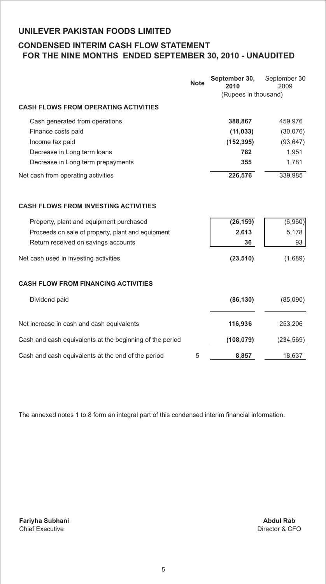### **CONDENSED INTERIM CASH FLOW STATEMENT FOR THE NINE MONTHS ENDED SEPTEMBER 30, 2010 - UNAUDITED**

|                                                          | <b>Note</b> | September 30,<br>2010 | September 30<br>2009 |
|----------------------------------------------------------|-------------|-----------------------|----------------------|
|                                                          |             | (Rupees in thousand)  |                      |
| <b>CASH FLOWS FROM OPERATING ACTIVITIES</b>              |             |                       |                      |
| Cash generated from operations                           |             | 388,867               | 459,976              |
| Finance costs paid                                       |             | (11, 033)             | (30,076)             |
| Income tax paid                                          |             | (152, 395)            | (93, 647)            |
| Decrease in Long term loans                              |             | 782                   | 1,951                |
| Decrease in Long term prepayments                        |             | 355                   | 1,781                |
| Net cash from operating activities                       |             | 226,576               | 339,985              |
| <b>CASH FLOWS FROM INVESTING ACTIVITIES</b>              |             |                       |                      |
| Property, plant and equipment purchased                  |             | (26, 159)             | (6,960)              |
| Proceeds on sale of property, plant and equipment        |             | 2,613                 | 5,178                |
| Return received on savings accounts                      |             | 36                    | 93                   |
| Net cash used in investing activities                    |             | (23, 510)             | (1,689)              |
| <b>CASH FLOW FROM FINANCING ACTIVITIES</b>               |             |                       |                      |
| Dividend paid                                            |             | (86, 130)             | (85,090)             |
| Net increase in cash and cash equivalents                |             | 116,936               | 253,206              |
| Cash and cash equivalents at the beginning of the period |             | (108, 079)            | (234, 569)           |
| Cash and cash equivalents at the end of the period       | 5           | 8,857                 | 18,637               |

The annexed notes 1 to 8 form an integral part of this condensed interim financial information.

**Fariyha Subhani** Chief Executive Director & CFO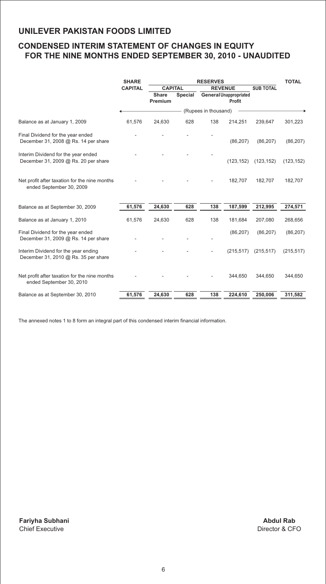### **CONDENSED INTERIM STATEMENT OF CHANGES IN EQUITY FOR THE NINE MONTHS ENDED SEPTEMBER 30, 2010 - UNAUDITED**

|                                                                              | <b>SHARE</b>   | <b>RESERVES</b>         |         | <b>TOTAL</b>         |                                         |                  |            |
|------------------------------------------------------------------------------|----------------|-------------------------|---------|----------------------|-----------------------------------------|------------------|------------|
|                                                                              | <b>CAPITAL</b> | <b>CAPITAL</b>          |         | <b>REVENUE</b>       |                                         | <b>SUB TOTAL</b> |            |
|                                                                              |                | <b>Share</b><br>Premium | Special |                      | <b>General Unappropriated</b><br>Profit |                  |            |
|                                                                              |                |                         |         | (Rupees in thousand) |                                         |                  |            |
| Balance as at January 1, 2009                                                | 61,576         | 24,630                  | 628     | 138                  | 214,251                                 | 239,647          | 301,223    |
| Final Dividend for the year ended<br>December 31, 2008 @ Rs. 14 per share    |                |                         |         |                      | (86, 207)                               | (86, 207)        | (86, 207)  |
| Interim Dividend for the year ended<br>December 31, 2009 @ Rs. 20 per share  |                |                         |         |                      | (123, 152)                              | (123, 152)       | (123, 152) |
| Net profit after taxation for the nine months<br>ended September 30, 2009    |                |                         |         |                      | 182,707                                 | 182,707          | 182,707    |
| Balance as at September 30, 2009                                             | 61,576         | 24,630                  | 628     | 138                  | 187,599                                 | 212,995          | 274,571    |
| Balance as at January 1, 2010                                                | 61,576         | 24,630                  | 628     | 138                  | 181,684                                 | 207,080          | 268,656    |
| Final Dividend for the year ended<br>December 31, 2009 @ Rs. 14 per share    |                |                         |         |                      | (86, 207)                               | (86, 207)        | (86, 207)  |
| Interim Dividend for the year ending<br>December 31, 2010 @ Rs. 35 per share |                |                         |         |                      | (215, 517)                              | (215, 517)       | (215, 517) |
| Net profit after taxation for the nine months<br>ended September 30, 2010    |                |                         |         |                      | 344,650                                 | 344,650          | 344,650    |
| Balance as at September 30, 2010                                             | 61,576         | 24,630                  | 628     | 138                  | 224,610                                 | 250,006          | 311,582    |

The annexed notes 1 to 8 form an integral part of this condensed interim financial information.

**Fariyha Subhani** Chief Executive Director & CFO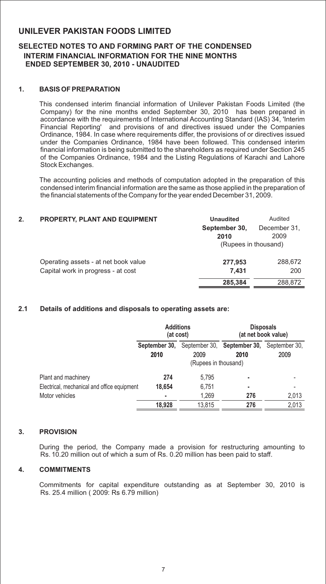#### **SELECTED NOTES TO AND FORMING PART OF THE CONDENSED INTERIM FINANCIAL INFORMATION FOR THE NINE MONTHS ENDED SEPTEMBER 30, 2010 - UNAUDITED**

#### **1. BASIS OF PREPARATION**

This condensed interim financial information of Unilever Pakistan Foods Limited (the Company) for the nine months ended September 30, 2010 has been prepared in accordance with the requirements of International Accounting Standard (IAS) 34, 'Interim Financial Reporting' and provisions of and directives issued under the Companies Ordinance, 1984. In case where requirements differ, the provisions of or directives issued under the Companies Ordinance, 1984 have been followed. This condensed interim financial information is being submitted to the shareholders as required under Section 245 of the Companies Ordinance, 1984 and the Listing Regulations of Karachi and Lahore Stock Exchanges.

The accounting policies and methods of computation adopted in the preparation of this condensed interim financial information are the same as those applied in the preparation of the financial statements of the Company for the year ended December 31, 2009.

| 2. | <b>PROPERTY, PLANT AND EQUIPMENT</b> | <b>Unaudited</b>      | Audited              |
|----|--------------------------------------|-----------------------|----------------------|
|    |                                      | September 30,<br>2010 | December 31,<br>2009 |
|    |                                      | (Rupees in thousand)  |                      |
|    | Operating assets - at net book value | 277,953               | 288,672              |
|    | Capital work in progress - at cost   | 7.431                 | 200                  |
|    |                                      | 285,384               | 288,872              |

#### **2.1 Details of additions and disposals to operating assets are:**

|                                             | <b>Additions</b><br>(at cost)                         |        | <b>Disposals</b><br>(at net book value) |                       |
|---------------------------------------------|-------------------------------------------------------|--------|-----------------------------------------|-----------------------|
|                                             | September 30,<br>2009<br>2010<br>(Rupees in thousand) |        | September 30, September 30,<br>2010     | September 30,<br>2009 |
| Plant and machinery                         | 274                                                   | 5.795  |                                         |                       |
| Electrical, mechanical and office equipment | 18.654                                                | 6,751  | ٠                                       |                       |
| Motor vehicles                              | ٠                                                     | 1,269  | 276                                     | 2,013                 |
|                                             | 18.928                                                | 13.815 | 276                                     | 2,013                 |

#### **3. PROVISION**

During the period, the Company made a provision for restructuring amounting to Rs. 10.20 million out of which a sum of Rs. 0.20 million has been paid to staff.

#### **4. COMMITMENTS**

Commitments for capital expenditure outstanding as at September 30, 2010 is Rs. 25.4 million ( 2009: Rs 6.79 million)